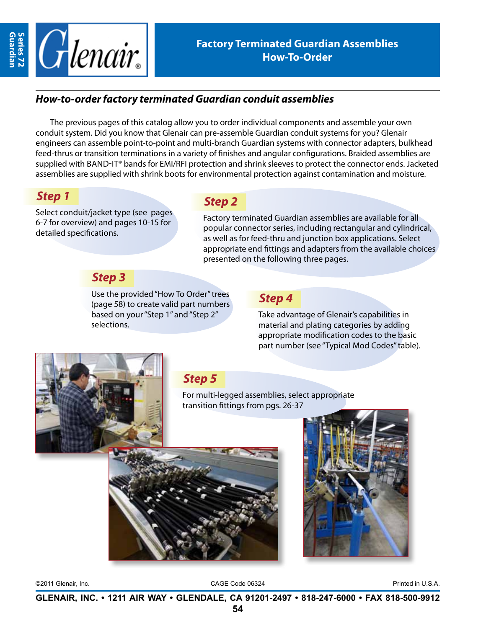

#### *How-to-order factory terminated Guardian conduit assemblies*

The previous pages of this catalog allow you to order individual components and assemble your own conduit system. Did you know that Glenair can pre-assemble Guardian conduit systems for you? Glenair engineers can assemble point-to-point and multi-branch Guardian systems with connector adapters, bulkhead feed-thrus or transition terminations in a variety of finishes and angular configurations. Braided assemblies are supplied with BAND-IT® bands for EMI/RFI protection and shrink sleeves to protect the connector ends. Jacketed assemblies are supplied with shrink boots for environmental protection against contamination and moisture.

### *Step 1*

Select conduit/jacket type (see pages 6-7 for overview) and pages 10-15 for detailed specifications.

# *Step 2*

Factory terminated Guardian assemblies are available for all popular connector series, including rectangular and cylindrical, as well as for feed-thru and junction box applications. Select appropriate end fittings and adapters from the available choices presented on the following three pages.

## *Step 3*

Use the provided "How To Order" trees (page 58) to create valid part numbers based on your "Step 1" and "Step 2" selections.

#### *Step 4*

Take advantage of Glenair's capabilities in material and plating categories by adding appropriate modification codes to the basic part number (see "Typical Mod Codes" table).



# *Step 5*

For multi-legged assemblies, select appropriate transition fittings from pgs. 26-37





©2011 Glenair, Inc. CAGE Code 06324 Printed in U.S.A.

**GLENAIR, INC. • 1211 AIR WAY • GLENDALE, CA 91201-2497 • 818-247-6000 • FAX 818-500-9912**